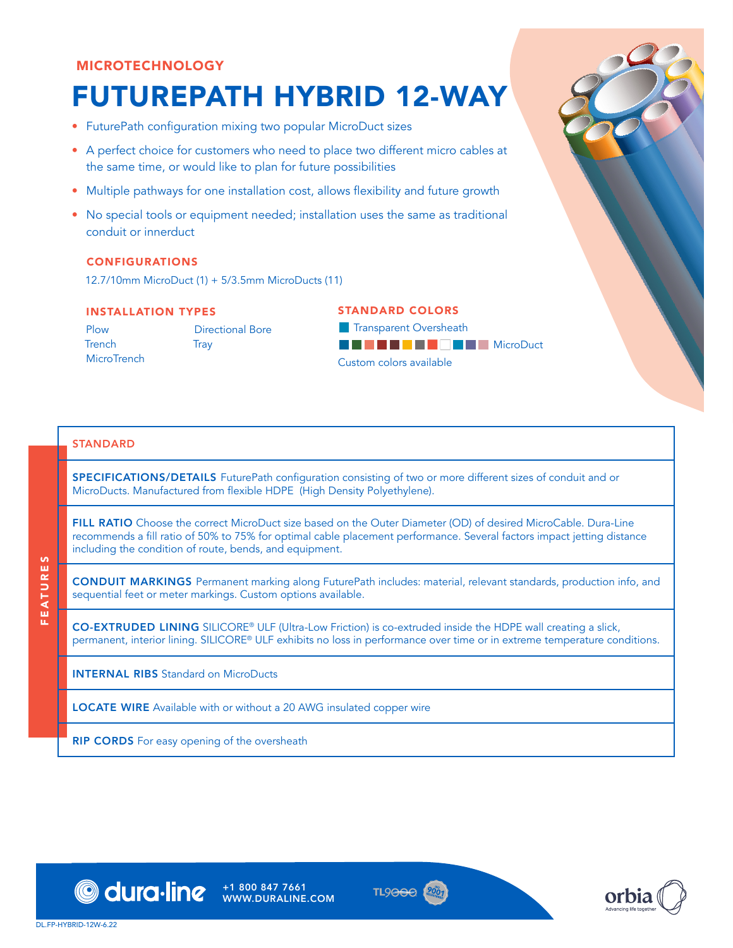# MICROTECHNOLOGY

# FUTUREPATH HYBRID 12-WAY

- FuturePath configuration mixing two popular MicroDuct sizes
- A perfect choice for customers who need to place two different micro cables at the same time, or would like to plan for future possibilities
- Multiple pathways for one installation cost, allows flexibility and future growth
- No special tools or equipment needed; installation uses the same as traditional conduit or innerduct

## CONFIGURATIONS

12.7/10mm MicroDuct (1) + 5/3.5mm MicroDucts (11)

## INSTALLATION TYPES

Plow **Trench MicroTrench** Directional Bore **Tray** 



## STANDARD

SPECIFICATIONS/DETAILS FuturePath configuration consisting of two or more different sizes of conduit and or MicroDucts. Manufactured from flexible HDPE (High Density Polyethylene).

FILL RATIO Choose the correct MicroDuct size based on the Outer Diameter (OD) of desired MicroCable. Dura-Line recommends a fill ratio of 50% to 75% for optimal cable placement performance. Several factors impact jetting distance including the condition of route, bends, and equipment.

CONDUIT MARKINGS Permanent marking along FuturePath includes: material, relevant standards, production info, and sequential feet or meter markings. Custom options available.

CO-EXTRUDED LINING SILICORE® ULF (Ultra-Low Friction) is co-extruded inside the HDPE wall creating a slick, permanent, interior lining. SILICORE® ULF exhibits no loss in performance over time or in extreme temperature conditions.

INTERNAL RIBS Standard on MicroDucts

LOCATE WIRE Available with or without a 20 AWG insulated copper wire

RIP CORDS For easy opening of the oversheath



WWW.DURALINE.COM